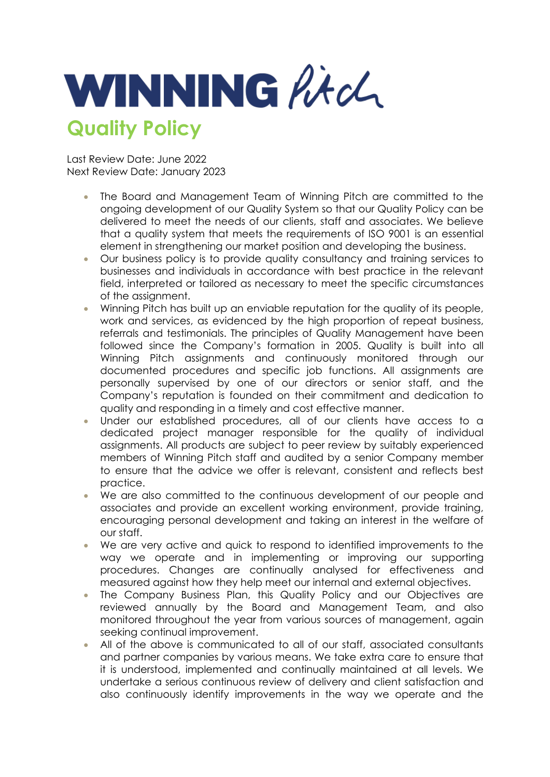

Last Review Date: June 2022 Next Review Date: January 2023

- The Board and Management Team of Winning Pitch are committed to the ongoing development of our Quality System so that our Quality Policy can be delivered to meet the needs of our clients, staff and associates. We believe that a quality system that meets the requirements of ISO 9001 is an essential element in strengthening our market position and developing the business.
- Our business policy is to provide quality consultancy and training services to businesses and individuals in accordance with best practice in the relevant field, interpreted or tailored as necessary to meet the specific circumstances of the assignment.
- Winning Pitch has built up an enviable reputation for the quality of its people, work and services, as evidenced by the high proportion of repeat business, referrals and testimonials. The principles of Quality Management have been followed since the Company's formation in 2005. Quality is built into all Winning Pitch assignments and continuously monitored through our documented procedures and specific job functions. All assignments are personally supervised by one of our directors or senior staff, and the Company's reputation is founded on their commitment and dedication to quality and responding in a timely and cost effective manner.
- Under our established procedures, all of our clients have access to a dedicated project manager responsible for the quality of individual assignments. All products are subject to peer review by suitably experienced members of Winning Pitch staff and audited by a senior Company member to ensure that the advice we offer is relevant, consistent and reflects best practice.
- We are also committed to the continuous development of our people and associates and provide an excellent working environment, provide training, encouraging personal development and taking an interest in the welfare of our staff.
- We are very active and quick to respond to identified improvements to the way we operate and in implementing or improving our supporting procedures. Changes are continually analysed for effectiveness and measured against how they help meet our internal and external objectives.
- The Company Business Plan, this Quality Policy and our Objectives are reviewed annually by the Board and Management Team, and also monitored throughout the year from various sources of management, again seeking continual improvement.
- All of the above is communicated to all of our staff, associated consultants and partner companies by various means. We take extra care to ensure that it is understood, implemented and continually maintained at all levels. We undertake a serious continuous review of delivery and client satisfaction and also continuously identify improvements in the way we operate and the